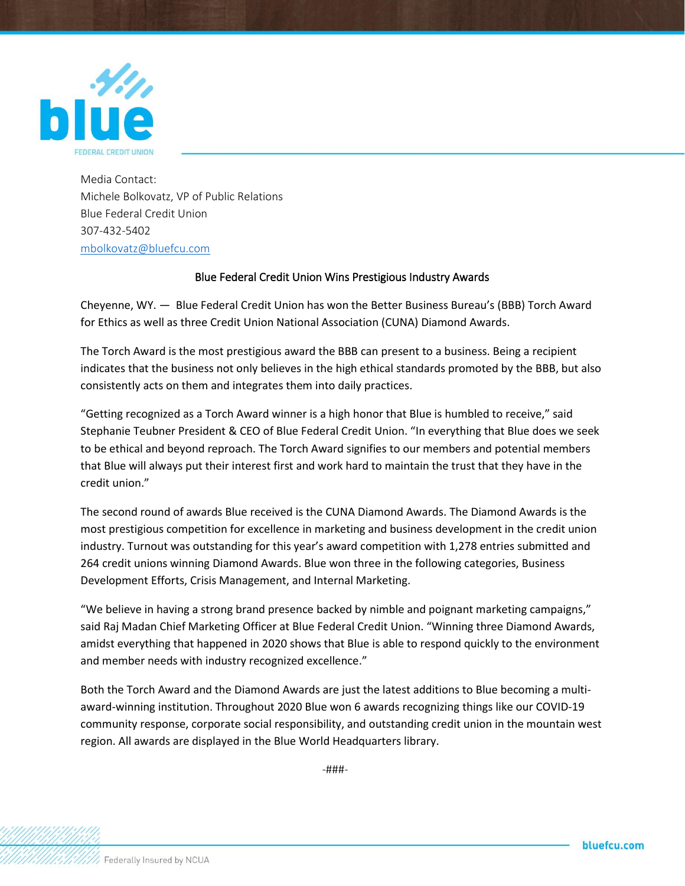

Media Contact: Michele Bolkovatz, VP of Public Relations Blue Federal Credit Union 307-432-5402 [mbolkovatz@bluefcu.com](mailto:mbolkovatz@bluefcu.com)

## Blue Federal Credit Union Wins Prestigious Industry Awards

Cheyenne, WY. — Blue Federal Credit Union has won the Better Business Bureau's (BBB) Torch Award for Ethics as well as three Credit Union National Association (CUNA) Diamond Awards.

The Torch Award is the most prestigious award the BBB can present to a business. Being a recipient indicates that the business not only believes in the high ethical standards promoted by the BBB, but also consistently acts on them and integrates them into daily practices.

"Getting recognized as a Torch Award winner is a high honor that Blue is humbled to receive," said Stephanie Teubner President & CEO of Blue Federal Credit Union. "In everything that Blue does we seek to be ethical and beyond reproach. The Torch Award signifies to our members and potential members that Blue will always put their interest first and work hard to maintain the trust that they have in the credit union."

The second round of awards Blue received is the CUNA Diamond Awards. The Diamond Awards is the most prestigious competition for excellence in marketing and business development in the credit union industry. Turnout was outstanding for this year's award competition with 1,278 entries submitted and 264 credit unions winning Diamond Awards. Blue won three in the following categories, Business Development Efforts, Crisis Management, and Internal Marketing.

"We believe in having a strong brand presence backed by nimble and poignant marketing campaigns," said Raj Madan Chief Marketing Officer at Blue Federal Credit Union. "Winning three Diamond Awards, amidst everything that happened in 2020 shows that Blue is able to respond quickly to the environment and member needs with industry recognized excellence."

Both the Torch Award and the Diamond Awards are just the latest additions to Blue becoming a multiaward-winning institution. Throughout 2020 Blue won 6 awards recognizing things like our COVID-19 community response, corporate social responsibility, and outstanding credit union in the mountain west region. All awards are displayed in the Blue World Headquarters library.

-###-